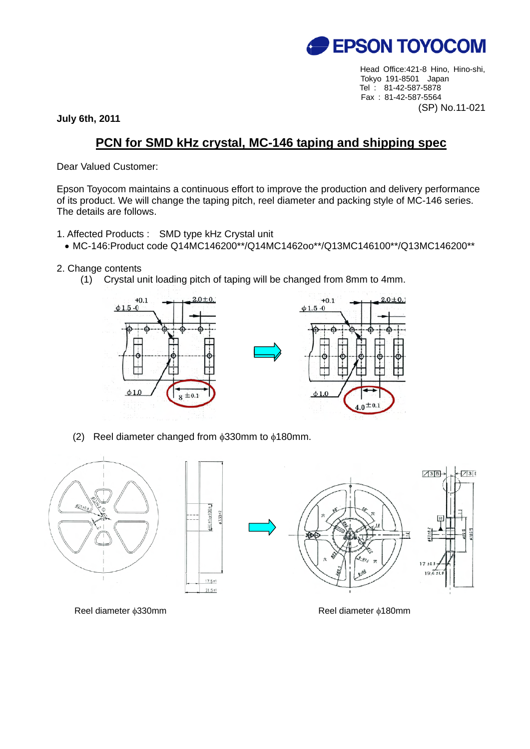

Head Office:421-8 Hino, Hino-shi, Tokyo 191-8501 Japan Tel : 81-42-587-5878 Fax : 81-42-587-5564 (SP) No.11-021

**July 6th, 2011** 

## **PCN for SMD kHz crystal, MC-146 taping and shipping spec**

Dear Valued Customer:

Epson Toyocom maintains a continuous effort to improve the production and delivery performance of its product. We will change the taping pitch, reel diameter and packing style of MC-146 series. The details are follows.

- 1. Affected Products : SMD type kHz Crystal unit
	- MC-146:Product code Q14MC146200\*\*/Q14MC1462oo\*\*/Q13MC146100\*\*/Q13MC146200\*\*
- 2. Change contents
	- (1) Crystal unit loading pitch of taping will be changed from 8mm to 4mm.



(2) Reel diameter changed from  $\phi$ 330mm to  $\phi$ 180mm.



Reel diameter φ330mm **Reel diameter φ180mm**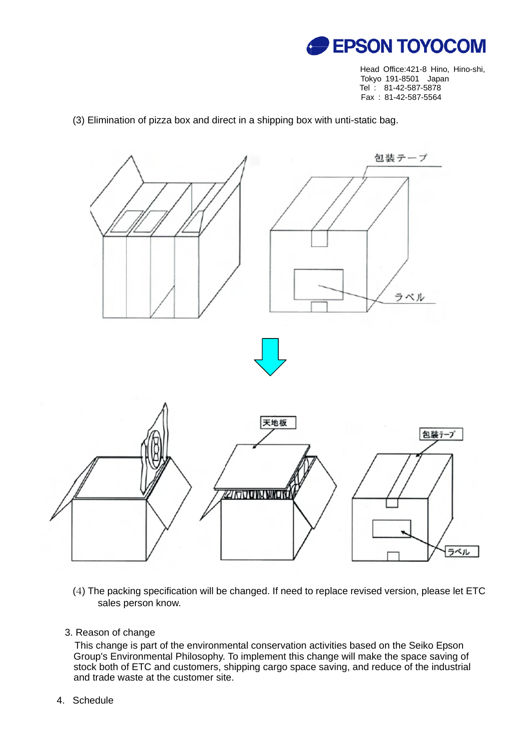

Head Office:421-8 Hino, Hino-shi, Tokyo 191-8501 Japan Tel : 81-42-587-5878 Fax : 81-42-587-5564

(3) Elimination of pizza box and direct in a shipping box with unti-static bag.



- (4) The packing specification will be changed. If need to replace revised version, please let ETC sales person know.
- 3. Reason of change

 This change is part of the environmental conservation activities based on the Seiko Epson Group's Environmental Philosophy. To implement this change will make the space saving of stock both of ETC and customers, shipping cargo space saving, and reduce of the industrial and trade waste at the customer site.

4. Schedule